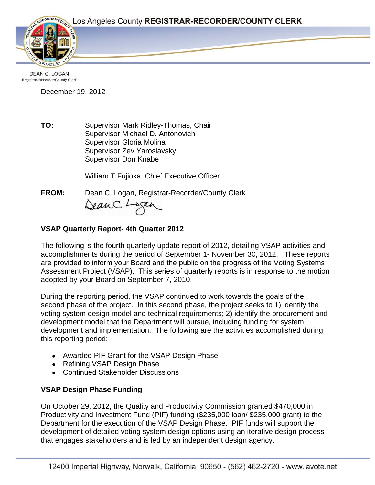Page 1



DEAN C. LOGAN Registrar-Recorder/County Clerk

December 19, 2012

**TO:** Supervisor Mark Ridley-Thomas, Chair Supervisor Michael D. Antonovich Supervisor Gloria Molina Supervisor Zev Yaroslavsky Supervisor Don Knabe

William T Fujioka, Chief Executive Officer

**FROM:** Dean C. Logan, Registrar-Recorder/County Clerk DeanC. Logan

# **VSAP Quarterly Report- 4th Quarter 2012**

The following is the fourth quarterly update report of 2012, detailing VSAP activities and accomplishments during the period of September 1- November 30, 2012. These reports are provided to inform your Board and the public on the progress of the Voting Systems Assessment Project (VSAP). This series of quarterly reports is in response to the motion adopted by your Board on September 7, 2010.

During the reporting period, the VSAP continued to work towards the goals of the second phase of the project. In this second phase, the project seeks to 1) identify the voting system design model and technical requirements; 2) identify the procurement and development model that the Department will pursue, including funding for system development and implementation. The following are the activities accomplished during this reporting period:

- Awarded PIF Grant for the VSAP Design Phase
- Refining VSAP Design Phase
- Continued Stakeholder Discussions

# **VSAP Design Phase Funding**

On October 29, 2012, the Quality and Productivity Commission granted \$470,000 in Productivity and Investment Fund (PIF) funding (\$235,000 loan/ \$235,000 grant) to the Department for the execution of the VSAP Design Phase. PIF funds will support the development of detailed voting system design options using an iterative design process that engages stakeholders and is led by an independent design agency.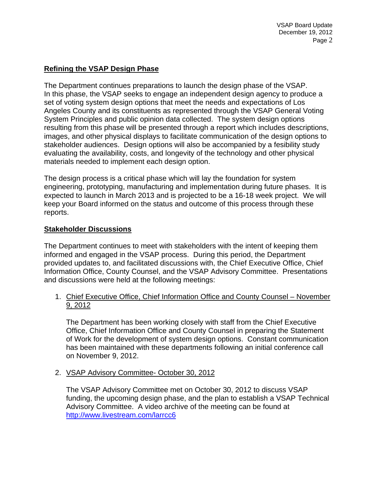### **Refining the VSAP Design Phase**

The Department continues preparations to launch the design phase of the VSAP. In this phase, the VSAP seeks to engage an independent design agency to produce a set of voting system design options that meet the needs and expectations of Los Angeles County and its constituents as represented through the VSAP General Voting System Principles and public opinion data collected. The system design options resulting from this phase will be presented through a report which includes descriptions, images, and other physical displays to facilitate communication of the design options to stakeholder audiences. Design options will also be accompanied by a fesibility study evaluating the availability, costs, and longevity of the technology and other physical materials needed to implement each design option.

The design process is a critical phase which will lay the foundation for system engineering, prototyping, manufacturing and implementation during future phases. It is expected to launch in March 2013 and is projected to be a 16-18 week project. We will keep your Board informed on the status and outcome of this process through these reports.

#### **Stakeholder Discussions**

The Department continues to meet with stakeholders with the intent of keeping them informed and engaged in the VSAP process. During this period, the Department provided updates to, and facilitated discussions with, the Chief Executive Office, Chief Information Office, County Counsel, and the VSAP Advisory Committee. Presentations and discussions were held at the following meetings:

1. Chief Executive Office, Chief Information Office and County Counsel – November 9, 2012

The Department has been working closely with staff from the Chief Executive Office, Chief Information Office and County Counsel in preparing the Statement of Work for the development of system design options. Constant communication has been maintained with these departments following an initial conference call on November 9, 2012.

2. VSAP Advisory Committee- October 30, 2012

The VSAP Advisory Committee met on October 30, 2012 to discuss VSAP funding, the upcoming design phase, and the plan to establish a VSAP Technical Advisory Committee. A video archive of the meeting can be found at http://www.livestream.com/larrcc6